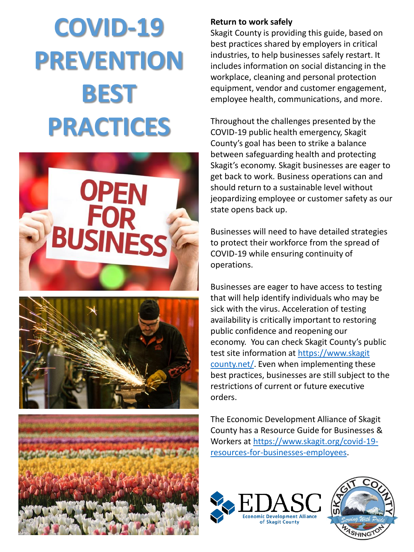# **COVID-19 PREVENTION BEST PRACTICES**







#### **Return to work safely**

Skagit County is providing this guide, based on best practices shared by employers in critical industries, to help businesses safely restart. It includes information on social distancing in the workplace, cleaning and personal protection equipment, vendor and customer engagement, employee health, communications, and more.

Throughout the challenges presented by the COVID-19 public health emergency, Skagit County's goal has been to strike a balance between safeguarding health and protecting Skagit's economy. Skagit businesses are eager to get back to work. Business operations can and should return to a sustainable level without jeopardizing employee or customer safety as our state opens back up.

Businesses will need to have detailed strategies to protect their workforce from the spread of COVID-19 while ensuring continuity of operations.

Businesses are eager to have access to testing that will help identify individuals who may be sick with the virus. Acceleration of testing availability is critically important to restoring public confidence and reopening our economy. You can check Skagit County's public [test site information at https://www.skagit](https://www.skagitcounty.net/) county.net/. Even when implementing these best practices, businesses are still subject to the restrictions of current or future executive orders.

The Economic Development Alliance of Skagit County has a Resource Guide for Businesses & [Workers at https://www.skagit.org/covid-19](https://www.skagit.org/covid-19-resources-for-businesses-employees) resources-for-businesses-employees.



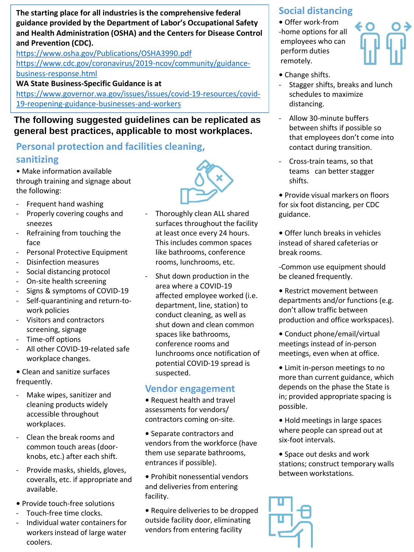**The starting place for all industries is the comprehensive federal guidance provided by the Department of Labor's Occupational Safety and Health Administration (OSHA) and the Centers for Disease Control and Prevention (CDC).**

<https://www.osha.gov/Publications/OSHA3990.pdf> [https://www.cdc.gov/coronavirus/2019-ncov/community/guidance](https://www.cdc.gov/coronavirus/2019-ncov/community/guidance-business-response.html)business-response.html

**WA State Business-Specific Guidance is at** 

[https://www.governor.wa.gov/issues/issues/covid-19-resources/covid-](https://www.governor.wa.gov/issues/issues/covid-19-resources/covid-19-reopening-guidance-businesses-and-workers)19-reopening-guidance-businesses-and-workers

#### **The following suggested guidelines can be replicated as general best practices, applicable to most workplaces.**

#### **Personal protection and facilities cleaning, sanitizing**

• Make information available through training and signage about the following:

- Frequent hand washing
- Properly covering coughs and sneezes
- Refraining from touching the face
- Personal Protective Equipment
- Disinfection measures
- Social distancing protocol
- On-site health screening
- Signs & symptoms of COVID-19
- Self-quarantining and return-towork policies
- Visitors and contractors screening, signage
- Time-off options
- All other COVID-19-related safe workplace changes.
- Clean and sanitize surfaces frequently.
- Make wipes, sanitizer and cleaning products widely accessible throughout workplaces.
- Clean the break rooms and common touch areas (doorknobs, etc.) after each shift.
- Provide masks, shields, gloves, coveralls, etc. if appropriate and available.
- Provide touch-free solutions
- Touch-free time clocks.
- Individual water containers for workers instead of large water coolers.
- Thoroughly clean ALL shared surfaces throughout the facility at least once every 24 hours. This includes common spaces like bathrooms, conference rooms, lunchrooms, etc.
- Shut down production in the area where a COVID-19 affected employee worked (i.e. department, line, station) to conduct cleaning, as well as shut down and clean common spaces like bathrooms, conference rooms and lunchrooms once notification of potential COVID-19 spread is suspected.

## **Vendor engagement**

- Request health and travel assessments for vendors/ contractors coming on-site.
- Separate contractors and vendors from the workforce (have them use separate bathrooms, entrances if possible).
- Prohibit nonessential vendors and deliveries from entering facility.
- Require deliveries to be dropped outside facility door, eliminating vendors from entering facility

#### **Social distancing**

**•** Offer work-from -home options for all employees who can perform duties remotely.



- Change shifts.
- ‐ Stagger shifts, breaks and lunch schedules to maximize distancing.
- ‐ Allow 30-minute buffers between shifts if possible so that employees don't come into contact during transition.
- ‐ Cross-train teams, so that teams can better stagger shifts.
- Provide visual markers on floors for six foot distancing, per CDC guidance.
- Offer lunch breaks in vehicles instead of shared cafeterias or break rooms.

-Common use equipment should be cleaned frequently.

- Restrict movement between departments and/or functions (e.g. don't allow traffic between production and office workspaces).
- Conduct phone/email/virtual meetings instead of in-person meetings, even when at office.
- Limit in-person meetings to no more than current guidance, which depends on the phase the State is in; provided appropriate spacing is possible.
- Hold meetings in large spaces where people can spread out at six-foot intervals.
- Space out desks and work stations; construct temporary walls between workstations.



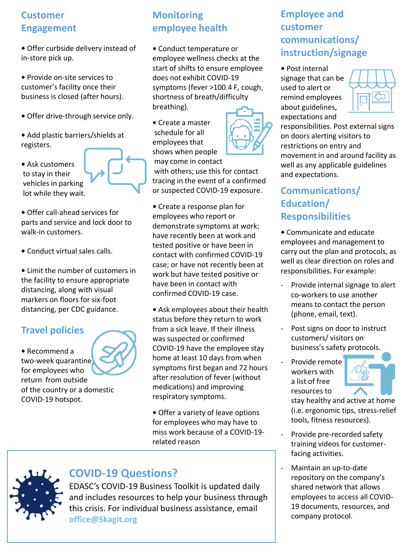# **Customer Engagement**

**•** Offer curbside delivery instead of in-store pick up.

**•** Provide on-site services to customer's facility once their business is closed (after hours).

- Offer drive-through service only.
- Add plastic barriers/shields at registers.

**•** Ask customers to stay in their vehicles in parking lot while they wait.

**•** Offer call-ahead services for parts and service and lock door to walk-in customers.

**•** Conduct virtual sales calls.

**•** Limit the number of customers in the facility to ensure appropriate distancing, along with visual markers on floors for six-foot distancing, per CDC guidance.

#### **Travel policies**

**•** Recommend a two-week quarantine for employees who return from outside of the country or a domestic COVID-19 hotspot.

## **Monitoring employee health**

**•** Conduct temperature or employee wellness checks at the start of shifts to ensure employee does not exhibit COVID-19 symptoms (fever >100.4 F, cough, shortness of breath/difficulty breathing).

**•** Create a master schedule for all employees that shows when people

may come in contact with others; use this for contact tracing in the event of a confirmed or suspected COVID-19 exposure.

**•** Create a response plan for employees who report or demonstrate symptoms at work; have recently been at work and tested positive or have been in contact with confirmed COVID-19 case; or have not recently been at work but have tested positive or have been in contact with confirmed COVID-19 case.

**•** Ask employees about their health status before they return to work from a sick leave. If their illness was suspected or confirmed COVID-19 have the employee stay home at least 10 days from when symptoms first began and 72 hours after resolution of fever (without medications) and improving respiratory symptoms.

**•** Offer a variety of leave options for employees who may have to miss work because of a COVID-19 related reason



# **COVID-19 Questions?**

EDASC's COVID-19 Business Toolkit is updated daily and includes resources to help your business through this crisis. For individual business assistance, email **office@Skagit.org**

# **Employee and customer communications/ instruction/signage**

**•** Post internal signage that can be used to alert or remind employees about guidelines, expectations and



responsibilities. Post external signs on doors alerting visitors to restrictions on entry and movement in and around facility as well as any applicable guidelines and expectations.

# **Communications/ Education/ Responsibilities**

**•** Communicate and educate employees and management to carry out the plan and protocols, as well as clear direction on roles and responsibilities. For example:

- Provide internal signage to alert co-workers to use another means to contact the person (phone, email, text).
- Post signs on door to instruct customers/ visitors on business's safety protocols.
- Provide remote workers with a list of free resources to



stay healthy and active at home (i.e. ergonomic tips, stress-relief tools, fitness resources).

- Provide pre-recorded safety training videos for customerfacing activities.
- Maintain an up-to-date repository on the company's shared network that allows employees to access all COVID-19 documents, resources, and company protocol.